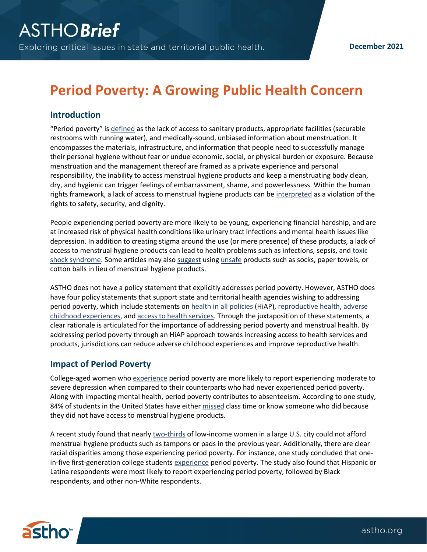**December 2021**

# **Period Poverty: A Growing Public Health Concern**

## **Introduction**

"Period poverty" is [defined](https://opendocs.ids.ac.uk/opendocs/handle/20.500.12413/14348) as the lack of access to sanitary products, appropriate facilities (securable restrooms with running water), and medically-sound, unbiased information about menstruation. It encompasses the materials, infrastructure, and information that people need to successfully manage their personal hygiene without fear or undue economic, social, or physical burden or exposure. Because menstruation and the management thereof are framed as a private experience and personal responsibility, the inability to access menstrual hygiene products and keep a menstruating body clean, dry, and hygienic can trigger feelings of embarrassment, shame, and powerlessness. Within the human rights framework, a lack of access to menstrual hygiene products can be [interpreted](https://www.tandfonline.com/doi/full/10.1080/26410397.2019.1684231) as a violation of the rights to safety, security, and dignity.

People experiencing period poverty are more likely to be young, experiencing financial hardship, and are at increased risk of physical health conditions like urinary tract infections and mental health issues like depression. In addition to creating stigma around the use (or mere presence) of these products, a lack of access to menstrual hygiene products can lead to health problems such as infections, sepsis, and toxic [shock syndrome.](https://www.nbcnews.com/news/us-news/metoo-helps-shine-light-access-feminine-hygiene-products-prison-n860946) Some articles may also [suggest](https://www.fool.com/the-ascent/banks/articles/what-to-do-cant-afford-pads-or-tampons/) usin[g unsafe](https://www.ama-assn.org/delivering-care/population-care/why-stigma-prevents-treating-menstrual-hygiene-essential) products such as socks, paper towels, or cotton balls in lieu of menstrual hygiene products.

ASTHO does not have a policy statement that explicitly addresses period poverty. However, ASTHO does have four policy statements that support state and territorial health agencies wishing to addressing period poverty, which include statements on [health in all policies](https://astho.org/Policy-and-Position-Statements/Policy-Statement-on-Health-in-All-Policies/) (HiAP)[, reproductive health,](https://astho.org/About/Policy-and-Position-Statements/Reproductive-Health-Services/) [adverse](https://astho.org/About/Policy-and-Position-Statements/Adverse-Childhood-Experiences-Policy-Statement/)  [childhood experiences,](https://astho.org/About/Policy-and-Position-Statements/Adverse-Childhood-Experiences-Policy-Statement/) and [access to health services.](https://astho.org/Policy-and-Position-Statements/Access-to-Health-Services/) Through the juxtaposition of these statements, a clear rationale is articulated for the importance of addressing period poverty and menstrual health. By addressing period poverty through an HiAP approach towards increasing access to health services and products, jurisdictions can reduce adverse childhood experiences and improve reproductive health.

#### **Impact of Period Poverty**

College-aged women wh[o experience](https://bmcwomenshealth.biomedcentral.com/articles/10.1186/s12905-020-01149-5) period poverty are more likely to report experiencing moderate to severe depression when compared to their counterparts who had never experienced period poverty. Along with impacting mental health, period poverty contributes to absenteeism. According to one study, 84% of students in the United States have eithe[r missed](https://thepolicyproject.org/wp-content/uploads/2019/10/State-of-the-Period-white-paper_Thinx_PERIOD.pdf) class time or know someone who did because they did not have access to menstrual hygiene products.

A recent study found that nearly [two-thirds](https://www.reuters.com/article/us-health-menstruation-usa/even-in-the-u-s-poor-women-often-cant-afford-tampons-pads-idUSKCN1P42TX) of low-income women in a large U.S. city could not afford menstrual hygiene products such as tampons or pads in the previous year. Additionally, there are clear racial disparities among those experiencing period poverty. For instance, one study concluded that onein-five first-generation college students [experience](https://bmcwomenshealth.biomedcentral.com/articles/10.1186/s12905-020-01149-5) period poverty. The study also found that Hispanic or Latina respondents were most likely to report experiencing period poverty, followed by Black respondents, and other non-White respondents.